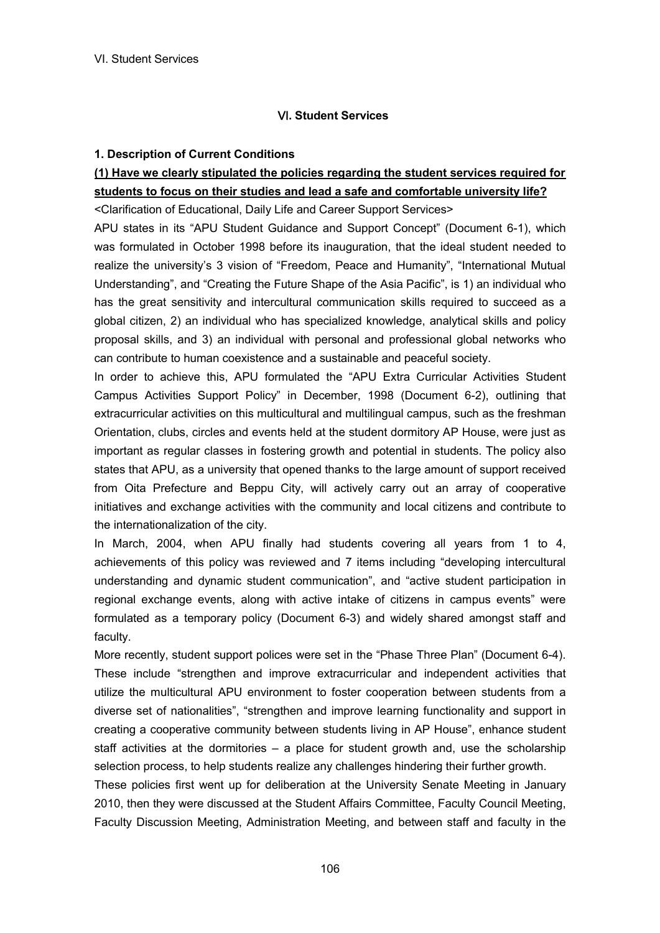### **1. Description of Current Conditions**

# **(1) Have we clearly stipulated the policies regarding the student services required for students to focus on their studies and lead a safe and comfortable university life?**

<Clarification of Educational, Daily Life and Career Support Services>

APU states in its "APU Student Guidance and Support Concept" (Document 6-1), which was formulated in October 1998 before its inauguration, that the ideal student needed to realize the university's 3 vision of "Freedom, Peace and Humanity", "International Mutual Understanding", and "Creating the Future Shape of the Asia Pacific", is 1) an individual who has the great sensitivity and intercultural communication skills required to succeed as a global citizen, 2) an individual who has specialized knowledge, analytical skills and policy proposal skills, and 3) an individual with personal and professional global networks who can contribute to human coexistence and a sustainable and peaceful society.

In order to achieve this, APU formulated the "APU Extra Curricular Activities Student Campus Activities Support Policy" in December, 1998 (Document 6-2), outlining that extracurricular activities on this multicultural and multilingual campus, such as the freshman Orientation, clubs, circles and events held at the student dormitory AP House, were just as important as regular classes in fostering growth and potential in students. The policy also states that APU, as a university that opened thanks to the large amount of support received from Oita Prefecture and Beppu City, will actively carry out an array of cooperative initiatives and exchange activities with the community and local citizens and contribute to the internationalization of the city.

In March, 2004, when APU finally had students covering all years from 1 to 4, achievements of this policy was reviewed and 7 items including "developing intercultural understanding and dynamic student communication", and "active student participation in regional exchange events, along with active intake of citizens in campus events" were formulated as a temporary policy (Document 6-3) and widely shared amongst staff and faculty.

More recently, student support polices were set in the "Phase Three Plan" (Document 6-4). These include "strengthen and improve extracurricular and independent activities that utilize the multicultural APU environment to foster cooperation between students from a diverse set of nationalities", "strengthen and improve learning functionality and support in creating a cooperative community between students living in AP House", enhance student staff activities at the dormitories – a place for student growth and, use the scholarship selection process, to help students realize any challenges hindering their further growth.

These policies first went up for deliberation at the University Senate Meeting in January 2010, then they were discussed at the Student Affairs Committee, Faculty Council Meeting, Faculty Discussion Meeting, Administration Meeting, and between staff and faculty in the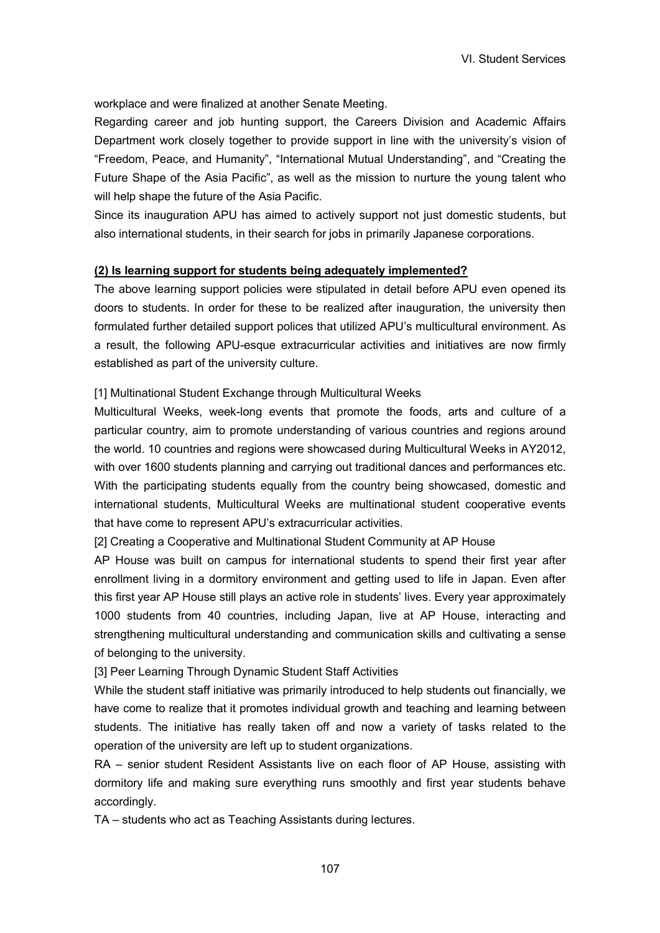workplace and were finalized at another Senate Meeting.

Regarding career and job hunting support, the Careers Division and Academic Affairs Department work closely together to provide support in line with the university's vision of "Freedom, Peace, and Humanity", "International Mutual Understanding", and "Creating the Future Shape of the Asia Pacific", as well as the mission to nurture the young talent who will help shape the future of the Asia Pacific.

Since its inauguration APU has aimed to actively support not just domestic students, but also international students, in their search for jobs in primarily Japanese corporations.

#### **(2) Is learning support for students being adequately implemented?**

The above learning support policies were stipulated in detail before APU even opened its doors to students. In order for these to be realized after inauguration, the university then formulated further detailed support polices that utilized APU's multicultural environment. As a result, the following APU-esque extracurricular activities and initiatives are now firmly established as part of the university culture.

[1] Multinational Student Exchange through Multicultural Weeks

Multicultural Weeks, week-long events that promote the foods, arts and culture of a particular country, aim to promote understanding of various countries and regions around the world. 10 countries and regions were showcased during Multicultural Weeks in AY2012, with over 1600 students planning and carrying out traditional dances and performances etc. With the participating students equally from the country being showcased, domestic and international students, Multicultural Weeks are multinational student cooperative events that have come to represent APU's extracurricular activities.

[2] Creating a Cooperative and Multinational Student Community at AP House

AP House was built on campus for international students to spend their first year after enrollment living in a dormitory environment and getting used to life in Japan. Even after this first year AP House still plays an active role in students' lives. Every year approximately 1000 students from 40 countries, including Japan, live at AP House, interacting and strengthening multicultural understanding and communication skills and cultivating a sense of belonging to the university.

[3] Peer Learning Through Dynamic Student Staff Activities

While the student staff initiative was primarily introduced to help students out financially, we have come to realize that it promotes individual growth and teaching and learning between students. The initiative has really taken off and now a variety of tasks related to the operation of the university are left up to student organizations.

RA – senior student Resident Assistants live on each floor of AP House, assisting with dormitory life and making sure everything runs smoothly and first year students behave accordingly.

TA – students who act as Teaching Assistants during lectures.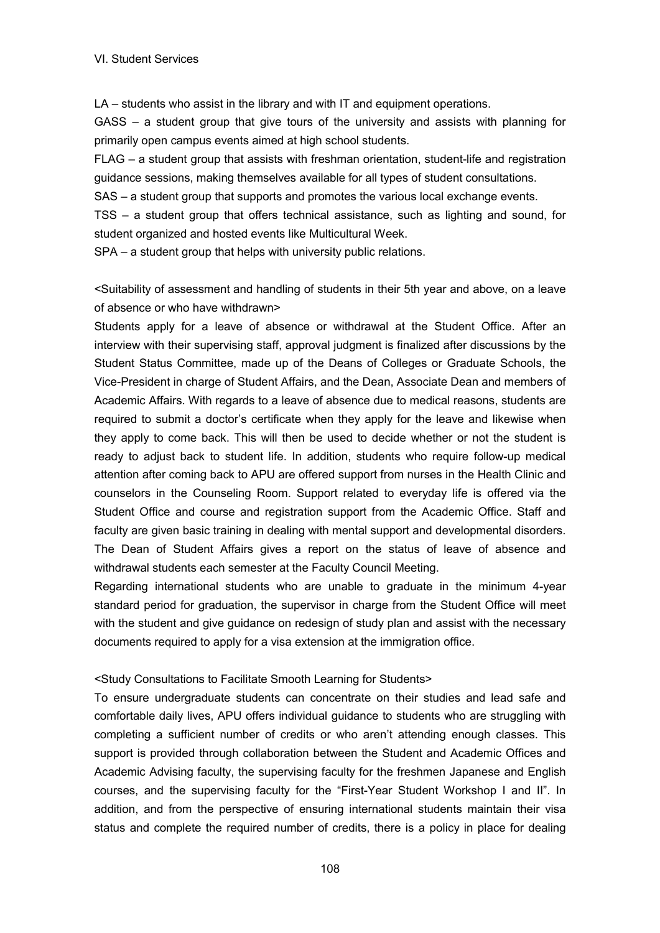LA – students who assist in the library and with IT and equipment operations.

GASS – a student group that give tours of the university and assists with planning for primarily open campus events aimed at high school students.

FLAG – a student group that assists with freshman orientation, student-life and registration guidance sessions, making themselves available for all types of student consultations.

SAS – a student group that supports and promotes the various local exchange events.

TSS – a student group that offers technical assistance, such as lighting and sound, for student organized and hosted events like Multicultural Week.

SPA – a student group that helps with university public relations.

<Suitability of assessment and handling of students in their 5th year and above, on a leave of absence or who have withdrawn>

Students apply for a leave of absence or withdrawal at the Student Office. After an interview with their supervising staff, approval judgment is finalized after discussions by the Student Status Committee, made up of the Deans of Colleges or Graduate Schools, the Vice-President in charge of Student Affairs, and the Dean, Associate Dean and members of Academic Affairs. With regards to a leave of absence due to medical reasons, students are required to submit a doctor's certificate when they apply for the leave and likewise when they apply to come back. This will then be used to decide whether or not the student is ready to adjust back to student life. In addition, students who require follow-up medical attention after coming back to APU are offered support from nurses in the Health Clinic and counselors in the Counseling Room. Support related to everyday life is offered via the Student Office and course and registration support from the Academic Office. Staff and faculty are given basic training in dealing with mental support and developmental disorders. The Dean of Student Affairs gives a report on the status of leave of absence and withdrawal students each semester at the Faculty Council Meeting.

Regarding international students who are unable to graduate in the minimum 4-year standard period for graduation, the supervisor in charge from the Student Office will meet with the student and give guidance on redesign of study plan and assist with the necessary documents required to apply for a visa extension at the immigration office.

## <Study Consultations to Facilitate Smooth Learning for Students>

To ensure undergraduate students can concentrate on their studies and lead safe and comfortable daily lives, APU offers individual guidance to students who are struggling with completing a sufficient number of credits or who aren't attending enough classes. This support is provided through collaboration between the Student and Academic Offices and Academic Advising faculty, the supervising faculty for the freshmen Japanese and English courses, and the supervising faculty for the "First-Year Student Workshop I and II". In addition, and from the perspective of ensuring international students maintain their visa status and complete the required number of credits, there is a policy in place for dealing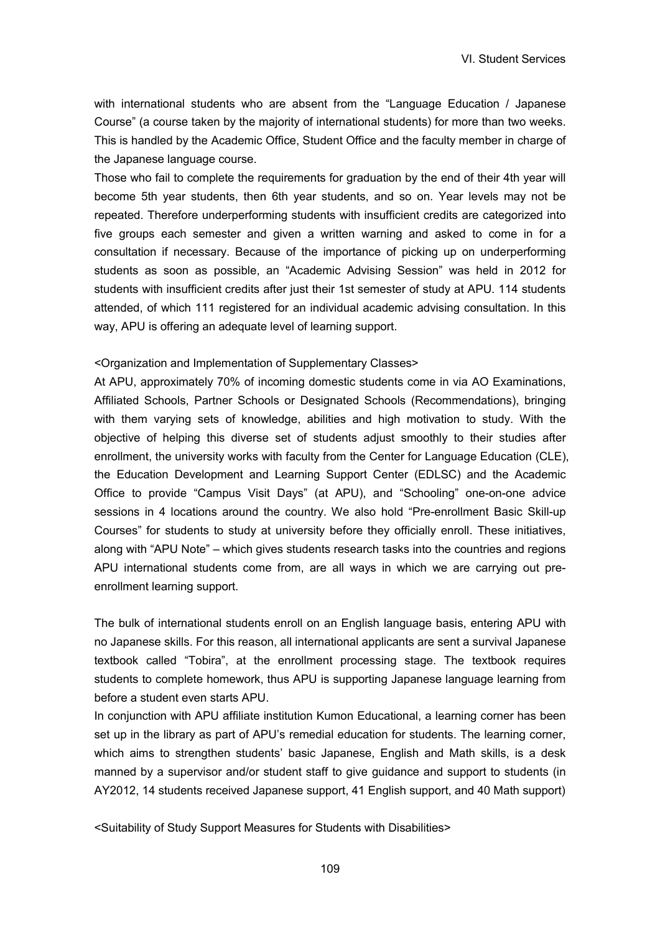with international students who are absent from the "Language Education / Japanese Course" (a course taken by the majority of international students) for more than two weeks. This is handled by the Academic Office, Student Office and the faculty member in charge of the Japanese language course.

Those who fail to complete the requirements for graduation by the end of their 4th year will become 5th year students, then 6th year students, and so on. Year levels may not be repeated. Therefore underperforming students with insufficient credits are categorized into five groups each semester and given a written warning and asked to come in for a consultation if necessary. Because of the importance of picking up on underperforming students as soon as possible, an "Academic Advising Session" was held in 2012 for students with insufficient credits after just their 1st semester of study at APU. 114 students attended, of which 111 registered for an individual academic advising consultation. In this way, APU is offering an adequate level of learning support.

#### <Organization and Implementation of Supplementary Classes>

At APU, approximately 70% of incoming domestic students come in via AO Examinations, Affiliated Schools, Partner Schools or Designated Schools (Recommendations), bringing with them varying sets of knowledge, abilities and high motivation to study. With the objective of helping this diverse set of students adjust smoothly to their studies after enrollment, the university works with faculty from the Center for Language Education (CLE), the Education Development and Learning Support Center (EDLSC) and the Academic Office to provide "Campus Visit Days" (at APU), and "Schooling" one-on-one advice sessions in 4 locations around the country. We also hold "Pre-enrollment Basic Skill-up Courses" for students to study at university before they officially enroll. These initiatives, along with "APU Note" – which gives students research tasks into the countries and regions APU international students come from, are all ways in which we are carrying out preenrollment learning support.

The bulk of international students enroll on an English language basis, entering APU with no Japanese skills. For this reason, all international applicants are sent a survival Japanese textbook called "Tobira", at the enrollment processing stage. The textbook requires students to complete homework, thus APU is supporting Japanese language learning from before a student even starts APU.

In conjunction with APU affiliate institution Kumon Educational, a learning corner has been set up in the library as part of APU's remedial education for students. The learning corner, which aims to strengthen students' basic Japanese, English and Math skills, is a desk manned by a supervisor and/or student staff to give guidance and support to students (in AY2012, 14 students received Japanese support, 41 English support, and 40 Math support)

<Suitability of Study Support Measures for Students with Disabilities>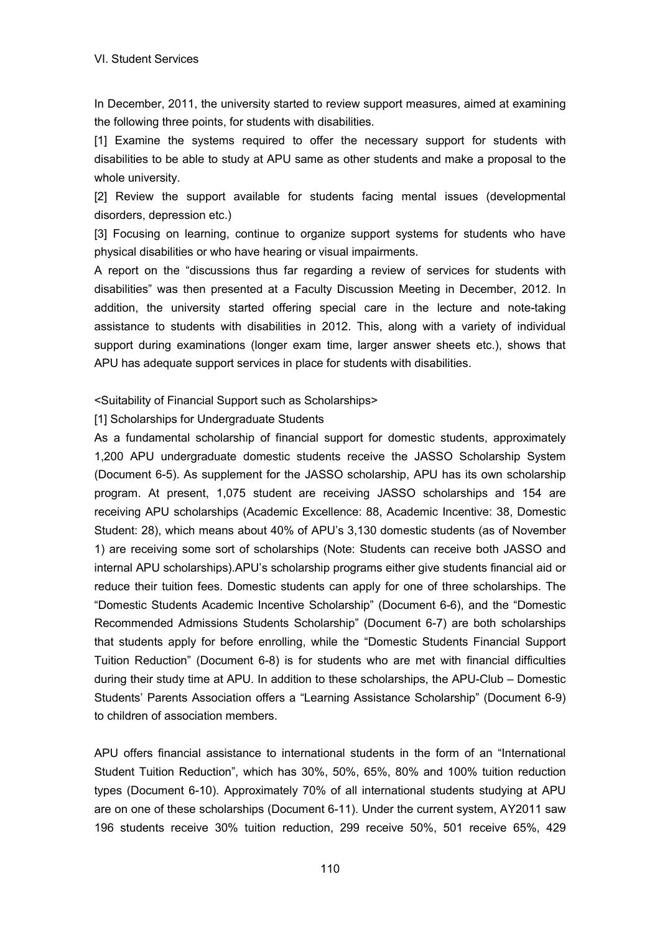In December, 2011, the university started to review support measures, aimed at examining the following three points, for students with disabilities.

[1] Examine the systems required to offer the necessary support for students with disabilities to be able to study at APU same as other students and make a proposal to the whole university.

[2] Review the support available for students facing mental issues (developmental disorders, depression etc.)

[3] Focusing on learning, continue to organize support systems for students who have physical disabilities or who have hearing or visual impairments.

A report on the "discussions thus far regarding a review of services for students with disabilities" was then presented at a Faculty Discussion Meeting in December, 2012. In addition, the university started offering special care in the lecture and note-taking assistance to students with disabilities in 2012. This, along with a variety of individual support during examinations (longer exam time, larger answer sheets etc.), shows that APU has adequate support services in place for students with disabilities.

<Suitability of Financial Support such as Scholarships>

[1] Scholarships for Undergraduate Students

As a fundamental scholarship of financial support for domestic students, approximately 1,200 APU undergraduate domestic students receive the JASSO Scholarship System (Document 6-5). As supplement for the JASSO scholarship, APU has its own scholarship program. At present, 1,075 student are receiving JASSO scholarships and 154 are receiving APU scholarships (Academic Excellence: 88, Academic Incentive: 38, Domestic Student: 28), which means about 40% of APU's 3,130 domestic students (as of November 1) are receiving some sort of scholarships (Note: Students can receive both JASSO and internal APU scholarships).APU's scholarship programs either give students financial aid or reduce their tuition fees. Domestic students can apply for one of three scholarships. The "Domestic Students Academic Incentive Scholarship" (Document 6-6), and the "Domestic Recommended Admissions Students Scholarship" (Document 6-7) are both scholarships that students apply for before enrolling, while the "Domestic Students Financial Support Tuition Reduction" (Document 6-8) is for students who are met with financial difficulties during their study time at APU. In addition to these scholarships, the APU-Club – Domestic Students' Parents Association offers a "Learning Assistance Scholarship" (Document 6-9) to children of association members.

APU offers financial assistance to international students in the form of an "International Student Tuition Reduction", which has 30%, 50%, 65%, 80% and 100% tuition reduction types (Document 6-10). Approximately 70% of all international students studying at APU are on one of these scholarships (Document 6-11). Under the current system, AY2011 saw 196 students receive 30% tuition reduction, 299 receive 50%, 501 receive 65%, 429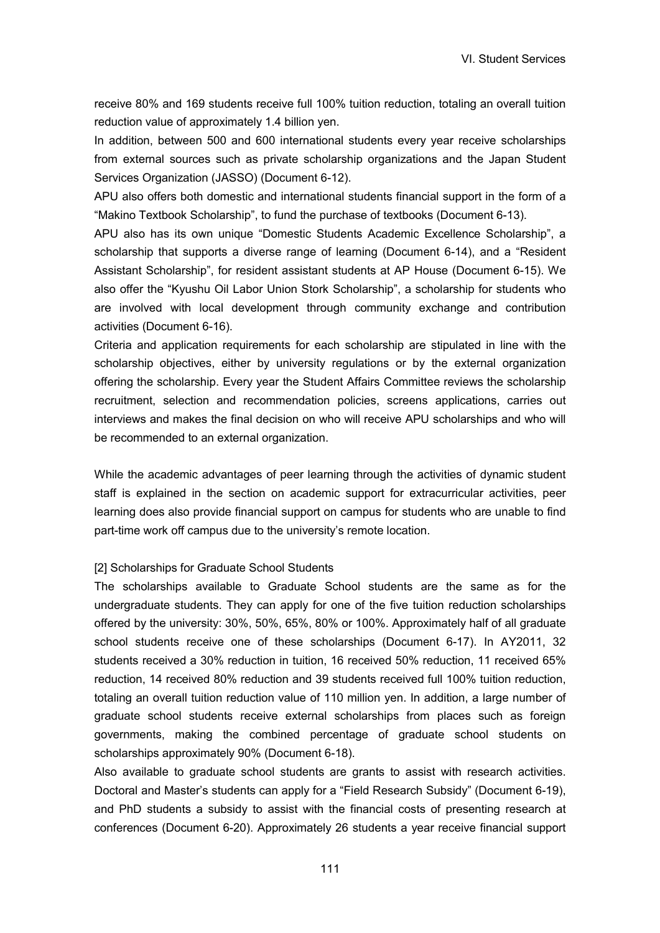receive 80% and 169 students receive full 100% tuition reduction, totaling an overall tuition reduction value of approximately 1.4 billion yen.

In addition, between 500 and 600 international students every year receive scholarships from external sources such as private scholarship organizations and the Japan Student Services Organization (JASSO) (Document 6-12).

APU also offers both domestic and international students financial support in the form of a "Makino Textbook Scholarship", to fund the purchase of textbooks (Document 6-13).

APU also has its own unique "Domestic Students Academic Excellence Scholarship", a scholarship that supports a diverse range of learning (Document 6-14), and a "Resident Assistant Scholarship", for resident assistant students at AP House (Document 6-15). We also offer the "Kyushu Oil Labor Union Stork Scholarship", a scholarship for students who are involved with local development through community exchange and contribution activities (Document 6-16).

Criteria and application requirements for each scholarship are stipulated in line with the scholarship objectives, either by university regulations or by the external organization offering the scholarship. Every year the Student Affairs Committee reviews the scholarship recruitment, selection and recommendation policies, screens applications, carries out interviews and makes the final decision on who will receive APU scholarships and who will be recommended to an external organization.

While the academic advantages of peer learning through the activities of dynamic student staff is explained in the section on academic support for extracurricular activities, peer learning does also provide financial support on campus for students who are unable to find part-time work off campus due to the university's remote location.

#### [2] Scholarships for Graduate School Students

The scholarships available to Graduate School students are the same as for the undergraduate students. They can apply for one of the five tuition reduction scholarships offered by the university: 30%, 50%, 65%, 80% or 100%. Approximately half of all graduate school students receive one of these scholarships (Document 6-17). In AY2011, 32 students received a 30% reduction in tuition, 16 received 50% reduction, 11 received 65% reduction, 14 received 80% reduction and 39 students received full 100% tuition reduction, totaling an overall tuition reduction value of 110 million yen. In addition, a large number of graduate school students receive external scholarships from places such as foreign governments, making the combined percentage of graduate school students on scholarships approximately 90% (Document 6-18).

Also available to graduate school students are grants to assist with research activities. Doctoral and Master's students can apply for a "Field Research Subsidy" (Document 6-19), and PhD students a subsidy to assist with the financial costs of presenting research at conferences (Document 6-20). Approximately 26 students a year receive financial support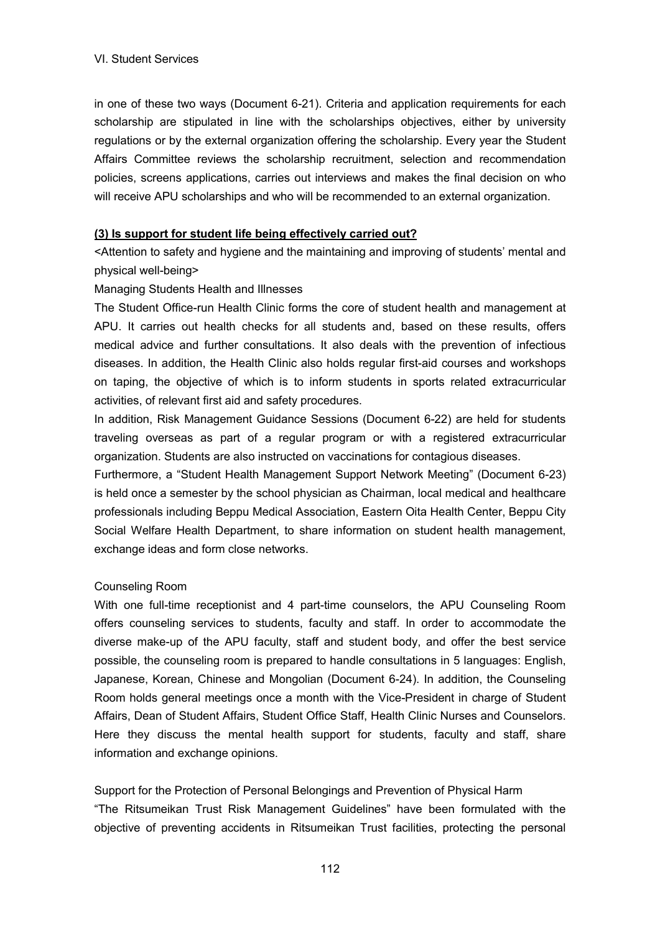in one of these two ways (Document 6-21). Criteria and application requirements for each scholarship are stipulated in line with the scholarships objectives, either by university regulations or by the external organization offering the scholarship. Every year the Student Affairs Committee reviews the scholarship recruitment, selection and recommendation policies, screens applications, carries out interviews and makes the final decision on who will receive APU scholarships and who will be recommended to an external organization.

### **(3) Is support for student life being effectively carried out?**

<Attention to safety and hygiene and the maintaining and improving of students' mental and physical well-being>

### Managing Students Health and Illnesses

The Student Office-run Health Clinic forms the core of student health and management at APU. It carries out health checks for all students and, based on these results, offers medical advice and further consultations. It also deals with the prevention of infectious diseases. In addition, the Health Clinic also holds regular first-aid courses and workshops on taping, the objective of which is to inform students in sports related extracurricular activities, of relevant first aid and safety procedures.

In addition, Risk Management Guidance Sessions (Document 6-22) are held for students traveling overseas as part of a regular program or with a registered extracurricular organization. Students are also instructed on vaccinations for contagious diseases.

Furthermore, a "Student Health Management Support Network Meeting" (Document 6-23) is held once a semester by the school physician as Chairman, local medical and healthcare professionals including Beppu Medical Association, Eastern Oita Health Center, Beppu City Social Welfare Health Department, to share information on student health management, exchange ideas and form close networks.

## Counseling Room

With one full-time receptionist and 4 part-time counselors, the APU Counseling Room offers counseling services to students, faculty and staff. In order to accommodate the diverse make-up of the APU faculty, staff and student body, and offer the best service possible, the counseling room is prepared to handle consultations in 5 languages: English, Japanese, Korean, Chinese and Mongolian (Document 6-24). In addition, the Counseling Room holds general meetings once a month with the Vice-President in charge of Student Affairs, Dean of Student Affairs, Student Office Staff, Health Clinic Nurses and Counselors. Here they discuss the mental health support for students, faculty and staff, share information and exchange opinions.

Support for the Protection of Personal Belongings and Prevention of Physical Harm "The Ritsumeikan Trust Risk Management Guidelines" have been formulated with the objective of preventing accidents in Ritsumeikan Trust facilities, protecting the personal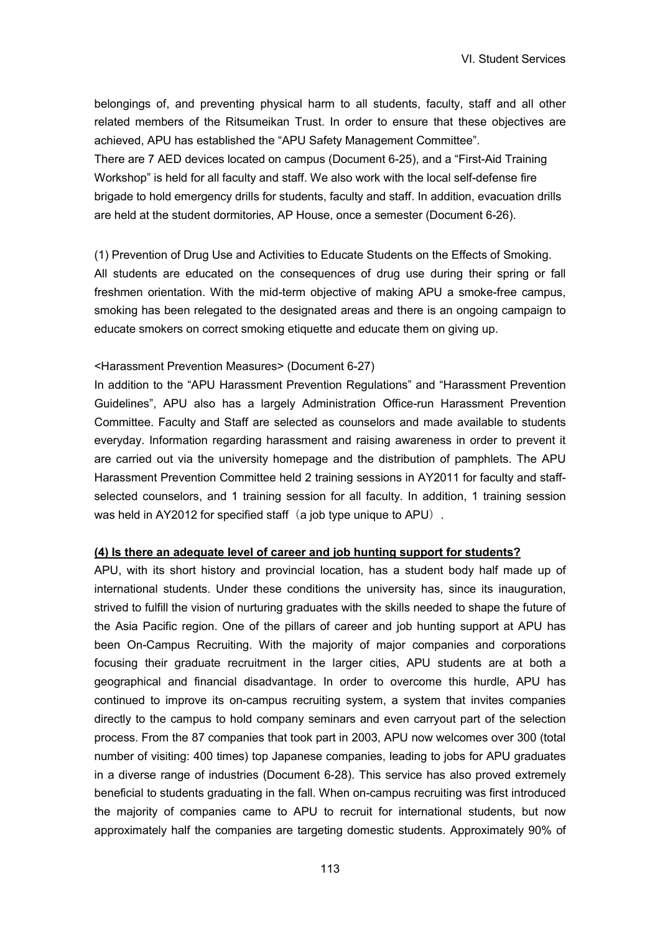belongings of, and preventing physical harm to all students, faculty, staff and all other related members of the Ritsumeikan Trust. In order to ensure that these objectives are achieved, APU has established the "APU Safety Management Committee". There are 7 AED devices located on campus (Document 6-25), and a "First-Aid Training Workshop" is held for all faculty and staff. We also work with the local self-defense fire brigade to hold emergency drills for students, faculty and staff. In addition, evacuation drills are held at the student dormitories, AP House, once a semester (Document 6-26).

(1) Prevention of Drug Use and Activities to Educate Students on the Effects of Smoking. All students are educated on the consequences of drug use during their spring or fall freshmen orientation. With the mid-term objective of making APU a smoke-free campus, smoking has been relegated to the designated areas and there is an ongoing campaign to educate smokers on correct smoking etiquette and educate them on giving up.

#### <Harassment Prevention Measures> (Document 6-27)

In addition to the "APU Harassment Prevention Regulations" and "Harassment Prevention Guidelines", APU also has a largely Administration Office-run Harassment Prevention Committee. Faculty and Staff are selected as counselors and made available to students everyday. Information regarding harassment and raising awareness in order to prevent it are carried out via the university homepage and the distribution of pamphlets. The APU Harassment Prevention Committee held 2 training sessions in AY2011 for faculty and staffselected counselors, and 1 training session for all faculty. In addition, 1 training session was held in AY2012 for specified staff (a job type unique to APU).

#### **(4) Is there an adequate level of career and job hunting support for students?**

APU, with its short history and provincial location, has a student body half made up of international students. Under these conditions the university has, since its inauguration, strived to fulfill the vision of nurturing graduates with the skills needed to shape the future of the Asia Pacific region. One of the pillars of career and job hunting support at APU has been On-Campus Recruiting. With the majority of major companies and corporations focusing their graduate recruitment in the larger cities, APU students are at both a geographical and financial disadvantage. In order to overcome this hurdle, APU has continued to improve its on-campus recruiting system, a system that invites companies directly to the campus to hold company seminars and even carryout part of the selection process. From the 87 companies that took part in 2003, APU now welcomes over 300 (total number of visiting: 400 times) top Japanese companies, leading to jobs for APU graduates in a diverse range of industries (Document 6-28). This service has also proved extremely beneficial to students graduating in the fall. When on-campus recruiting was first introduced the majority of companies came to APU to recruit for international students, but now approximately half the companies are targeting domestic students. Approximately 90% of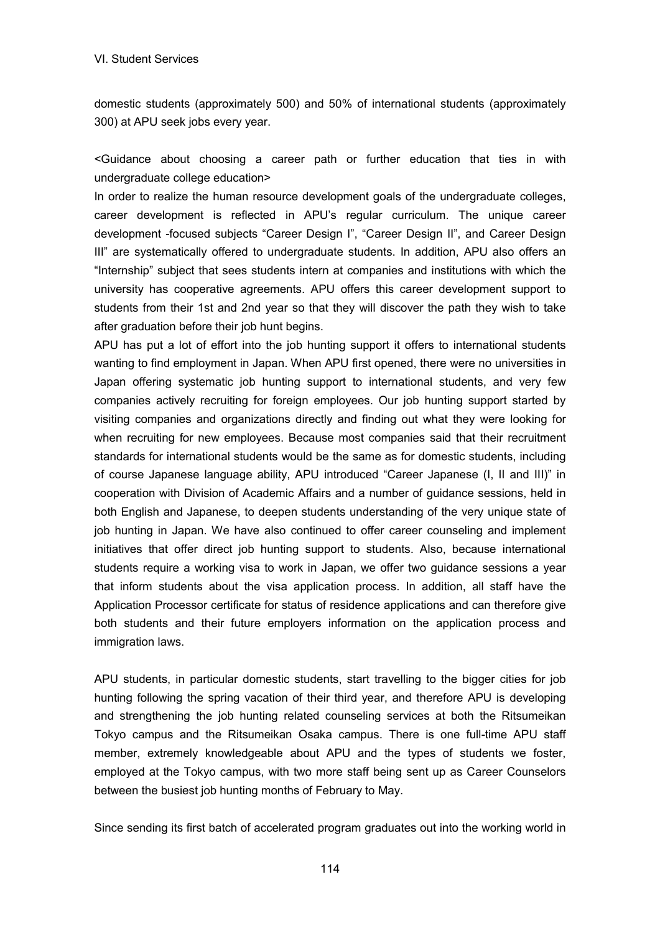domestic students (approximately 500) and 50% of international students (approximately 300) at APU seek jobs every year.

<Guidance about choosing a career path or further education that ties in with undergraduate college education>

In order to realize the human resource development goals of the undergraduate colleges, career development is reflected in APU's regular curriculum. The unique career development -focused subjects "Career Design I", "Career Design II", and Career Design III" are systematically offered to undergraduate students. In addition, APU also offers an "Internship" subject that sees students intern at companies and institutions with which the university has cooperative agreements. APU offers this career development support to students from their 1st and 2nd year so that they will discover the path they wish to take after graduation before their job hunt begins.

APU has put a lot of effort into the job hunting support it offers to international students wanting to find employment in Japan. When APU first opened, there were no universities in Japan offering systematic job hunting support to international students, and very few companies actively recruiting for foreign employees. Our job hunting support started by visiting companies and organizations directly and finding out what they were looking for when recruiting for new employees. Because most companies said that their recruitment standards for international students would be the same as for domestic students, including of course Japanese language ability, APU introduced "Career Japanese (I, II and III)" in cooperation with Division of Academic Affairs and a number of guidance sessions, held in both English and Japanese, to deepen students understanding of the very unique state of job hunting in Japan. We have also continued to offer career counseling and implement initiatives that offer direct job hunting support to students. Also, because international students require a working visa to work in Japan, we offer two guidance sessions a year that inform students about the visa application process. In addition, all staff have the Application Processor certificate for status of residence applications and can therefore give both students and their future employers information on the application process and immigration laws.

APU students, in particular domestic students, start travelling to the bigger cities for job hunting following the spring vacation of their third year, and therefore APU is developing and strengthening the job hunting related counseling services at both the Ritsumeikan Tokyo campus and the Ritsumeikan Osaka campus. There is one full-time APU staff member, extremely knowledgeable about APU and the types of students we foster, employed at the Tokyo campus, with two more staff being sent up as Career Counselors between the busiest job hunting months of February to May.

Since sending its first batch of accelerated program graduates out into the working world in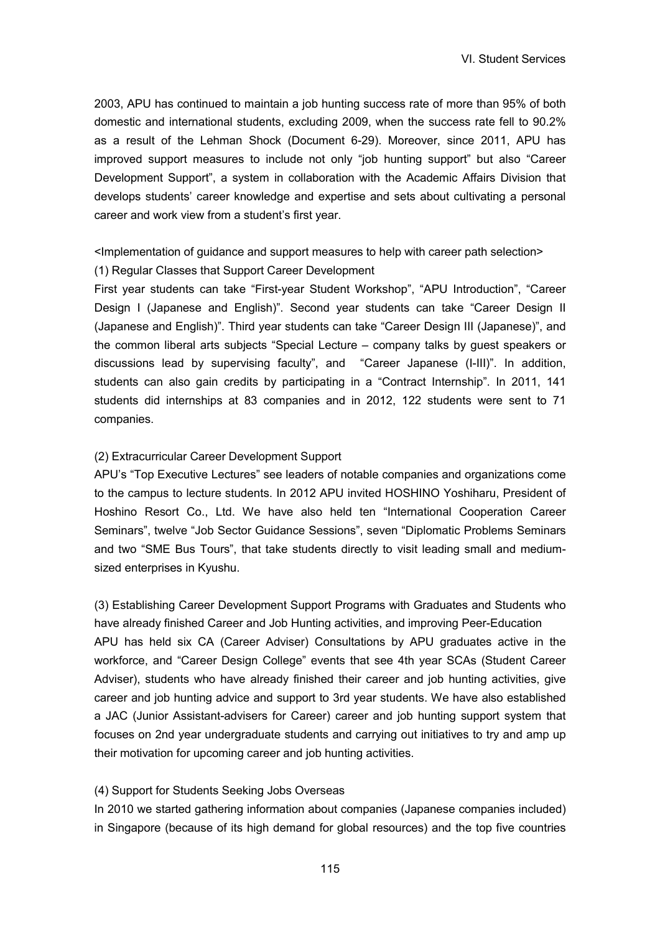2003, APU has continued to maintain a job hunting success rate of more than 95% of both domestic and international students, excluding 2009, when the success rate fell to 90.2% as a result of the Lehman Shock (Document 6-29). Moreover, since 2011, APU has improved support measures to include not only "job hunting support" but also "Career Development Support", a system in collaboration with the Academic Affairs Division that develops students' career knowledge and expertise and sets about cultivating a personal career and work view from a student's first year.

### <Implementation of guidance and support measures to help with career path selection> (1) Regular Classes that Support Career Development

First year students can take "First-year Student Workshop", "APU Introduction", "Career Design I (Japanese and English)". Second year students can take "Career Design II (Japanese and English)". Third year students can take "Career Design III (Japanese)", and the common liberal arts subjects "Special Lecture – company talks by guest speakers or discussions lead by supervising faculty", and "Career Japanese (I-III)". In addition, students can also gain credits by participating in a "Contract Internship". In 2011, 141 students did internships at 83 companies and in 2012, 122 students were sent to 71 companies.

#### (2) Extracurricular Career Development Support

APU's "Top Executive Lectures" see leaders of notable companies and organizations come to the campus to lecture students. In 2012 APU invited HOSHINO Yoshiharu, President of Hoshino Resort Co., Ltd. We have also held ten "International Cooperation Career Seminars", twelve "Job Sector Guidance Sessions", seven "Diplomatic Problems Seminars and two "SME Bus Tours", that take students directly to visit leading small and mediumsized enterprises in Kyushu.

(3) Establishing Career Development Support Programs with Graduates and Students who have already finished Career and Job Hunting activities, and improving Peer-Education APU has held six CA (Career Adviser) Consultations by APU graduates active in the workforce, and "Career Design College" events that see 4th year SCAs (Student Career Adviser), students who have already finished their career and job hunting activities, give career and job hunting advice and support to 3rd year students. We have also established a JAC (Junior Assistant-advisers for Career) career and job hunting support system that focuses on 2nd year undergraduate students and carrying out initiatives to try and amp up their motivation for upcoming career and job hunting activities.

### (4) Support for Students Seeking Jobs Overseas

In 2010 we started gathering information about companies (Japanese companies included) in Singapore (because of its high demand for global resources) and the top five countries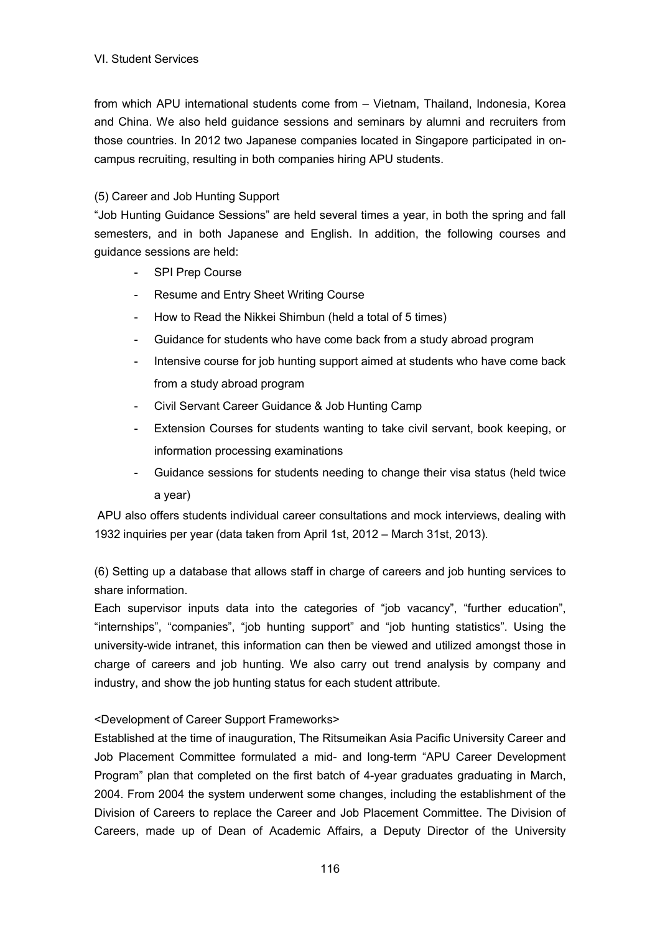from which APU international students come from – Vietnam, Thailand, Indonesia, Korea and China. We also held guidance sessions and seminars by alumni and recruiters from those countries. In 2012 two Japanese companies located in Singapore participated in oncampus recruiting, resulting in both companies hiring APU students.

### (5) Career and Job Hunting Support

"Job Hunting Guidance Sessions" are held several times a year, in both the spring and fall semesters, and in both Japanese and English. In addition, the following courses and guidance sessions are held:

- SPI Prep Course
- Resume and Entry Sheet Writing Course
- How to Read the Nikkei Shimbun (held a total of 5 times)
- Guidance for students who have come back from a study abroad program
- Intensive course for job hunting support aimed at students who have come back from a study abroad program
- Civil Servant Career Guidance & Job Hunting Camp
- Extension Courses for students wanting to take civil servant, book keeping, or information processing examinations
- Guidance sessions for students needing to change their visa status (held twice a year)

APU also offers students individual career consultations and mock interviews, dealing with 1932 inquiries per year (data taken from April 1st, 2012 – March 31st, 2013).

(6) Setting up a database that allows staff in charge of careers and job hunting services to share information.

Each supervisor inputs data into the categories of "job vacancy", "further education", "internships", "companies", "job hunting support" and "job hunting statistics". Using the university-wide intranet, this information can then be viewed and utilized amongst those in charge of careers and job hunting. We also carry out trend analysis by company and industry, and show the job hunting status for each student attribute.

## <Development of Career Support Frameworks>

Established at the time of inauguration, The Ritsumeikan Asia Pacific University Career and Job Placement Committee formulated a mid- and long-term "APU Career Development Program" plan that completed on the first batch of 4-year graduates graduating in March, 2004. From 2004 the system underwent some changes, including the establishment of the Division of Careers to replace the Career and Job Placement Committee. The Division of Careers, made up of Dean of Academic Affairs, a Deputy Director of the University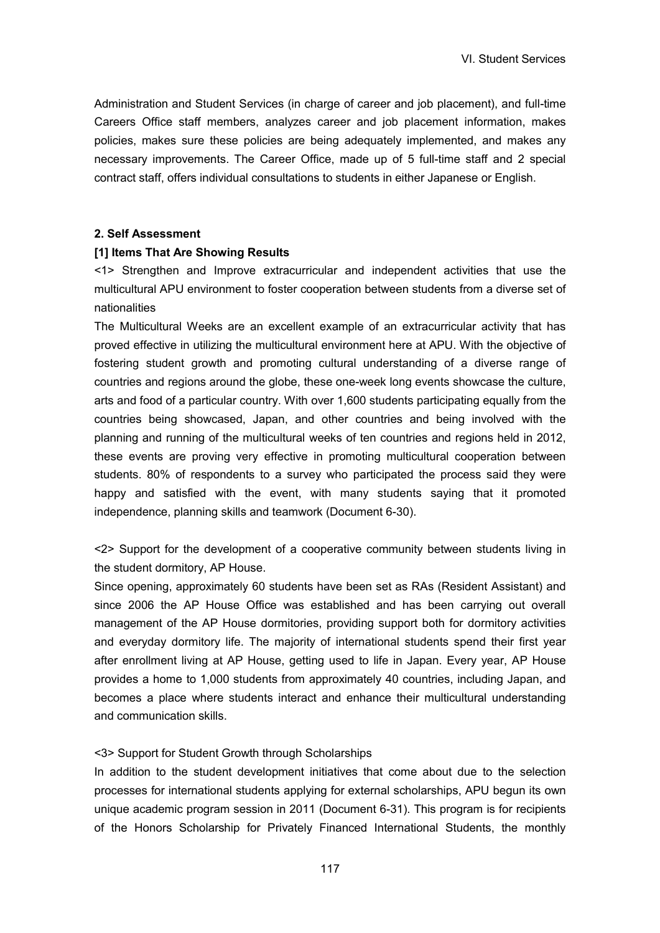Administration and Student Services (in charge of career and job placement), and full-time Careers Office staff members, analyzes career and job placement information, makes policies, makes sure these policies are being adequately implemented, and makes any necessary improvements. The Career Office, made up of 5 full-time staff and 2 special contract staff, offers individual consultations to students in either Japanese or English.

#### **2. Self Assessment**

#### **[1] Items That Are Showing Results**

<1> Strengthen and Improve extracurricular and independent activities that use the multicultural APU environment to foster cooperation between students from a diverse set of nationalities

The Multicultural Weeks are an excellent example of an extracurricular activity that has proved effective in utilizing the multicultural environment here at APU. With the objective of fostering student growth and promoting cultural understanding of a diverse range of countries and regions around the globe, these one-week long events showcase the culture, arts and food of a particular country. With over 1,600 students participating equally from the countries being showcased, Japan, and other countries and being involved with the planning and running of the multicultural weeks of ten countries and regions held in 2012, these events are proving very effective in promoting multicultural cooperation between students. 80% of respondents to a survey who participated the process said they were happy and satisfied with the event, with many students saying that it promoted independence, planning skills and teamwork (Document 6-30).

<2> Support for the development of a cooperative community between students living in the student dormitory, AP House.

Since opening, approximately 60 students have been set as RAs (Resident Assistant) and since 2006 the AP House Office was established and has been carrying out overall management of the AP House dormitories, providing support both for dormitory activities and everyday dormitory life. The majority of international students spend their first year after enrollment living at AP House, getting used to life in Japan. Every year, AP House provides a home to 1,000 students from approximately 40 countries, including Japan, and becomes a place where students interact and enhance their multicultural understanding and communication skills.

### <3> Support for Student Growth through Scholarships

In addition to the student development initiatives that come about due to the selection processes for international students applying for external scholarships, APU begun its own unique academic program session in 2011 (Document 6-31). This program is for recipients of the Honors Scholarship for Privately Financed International Students, the monthly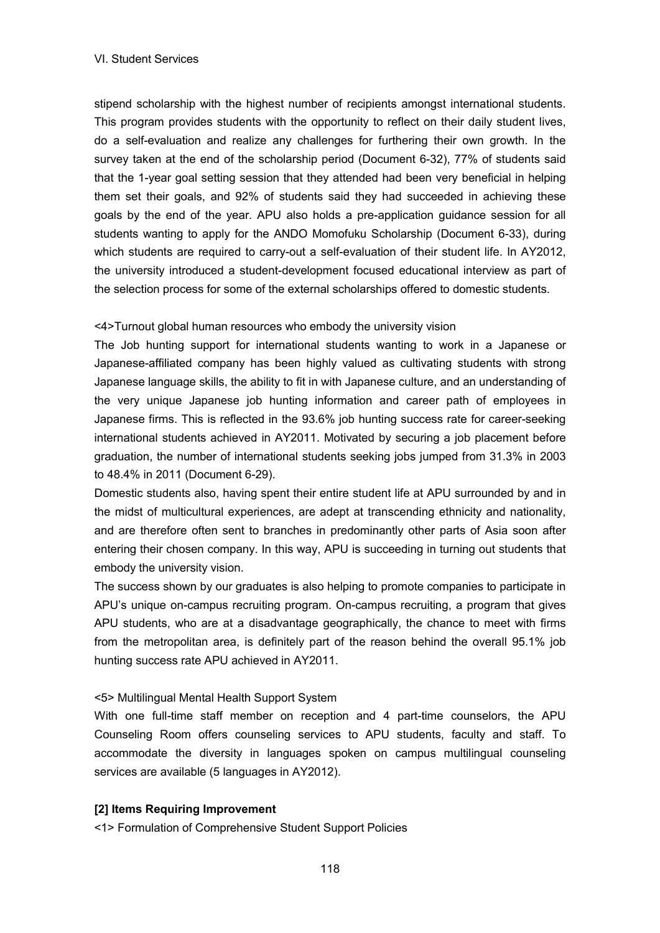stipend scholarship with the highest number of recipients amongst international students. This program provides students with the opportunity to reflect on their daily student lives, do a self-evaluation and realize any challenges for furthering their own growth. In the survey taken at the end of the scholarship period (Document 6-32), 77% of students said that the 1-year goal setting session that they attended had been very beneficial in helping them set their goals, and 92% of students said they had succeeded in achieving these goals by the end of the year. APU also holds a pre-application guidance session for all students wanting to apply for the ANDO Momofuku Scholarship (Document 6-33), during which students are required to carry-out a self-evaluation of their student life. In AY2012, the university introduced a student-development focused educational interview as part of the selection process for some of the external scholarships offered to domestic students.

<4>Turnout global human resources who embody the university vision

The Job hunting support for international students wanting to work in a Japanese or Japanese-affiliated company has been highly valued as cultivating students with strong Japanese language skills, the ability to fit in with Japanese culture, and an understanding of the very unique Japanese job hunting information and career path of employees in Japanese firms. This is reflected in the 93.6% job hunting success rate for career-seeking international students achieved in AY2011. Motivated by securing a job placement before graduation, the number of international students seeking jobs jumped from 31.3% in 2003 to 48.4% in 2011 (Document 6-29).

Domestic students also, having spent their entire student life at APU surrounded by and in the midst of multicultural experiences, are adept at transcending ethnicity and nationality, and are therefore often sent to branches in predominantly other parts of Asia soon after entering their chosen company. In this way, APU is succeeding in turning out students that embody the university vision.

The success shown by our graduates is also helping to promote companies to participate in APU's unique on-campus recruiting program. On-campus recruiting, a program that gives APU students, who are at a disadvantage geographically, the chance to meet with firms from the metropolitan area, is definitely part of the reason behind the overall 95.1% job hunting success rate APU achieved in AY2011.

#### <5> Multilingual Mental Health Support System

With one full-time staff member on reception and 4 part-time counselors, the APU Counseling Room offers counseling services to APU students, faculty and staff. To accommodate the diversity in languages spoken on campus multilingual counseling services are available (5 languages in AY2012).

#### **[2] Items Requiring Improvement**

<1> Formulation of Comprehensive Student Support Policies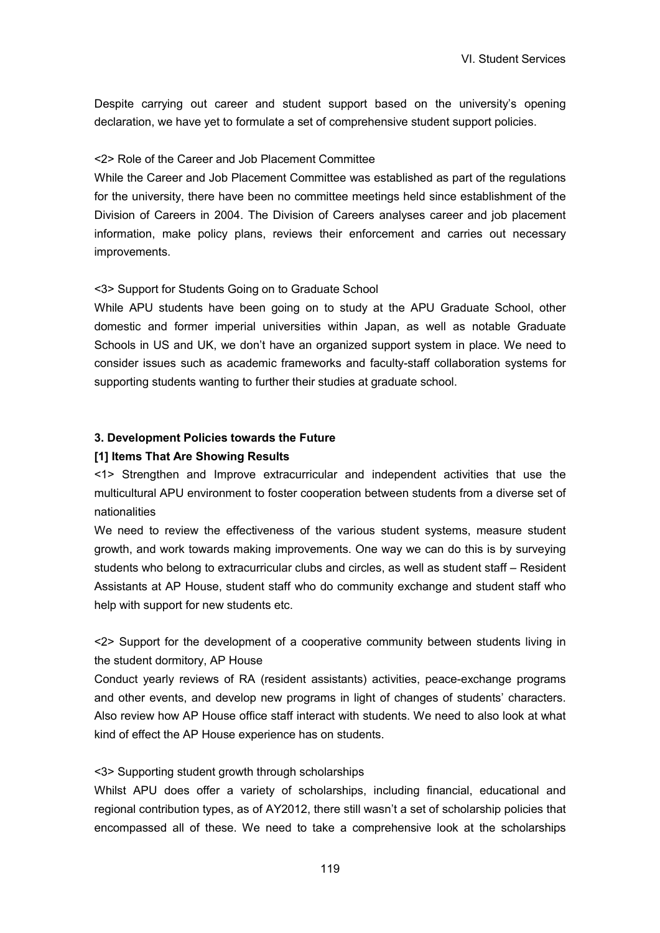Despite carrying out career and student support based on the university's opening declaration, we have yet to formulate a set of comprehensive student support policies.

### <2> Role of the Career and Job Placement Committee

While the Career and Job Placement Committee was established as part of the regulations for the university, there have been no committee meetings held since establishment of the Division of Careers in 2004. The Division of Careers analyses career and job placement information, make policy plans, reviews their enforcement and carries out necessary improvements.

#### <3> Support for Students Going on to Graduate School

While APU students have been going on to study at the APU Graduate School, other domestic and former imperial universities within Japan, as well as notable Graduate Schools in US and UK, we don't have an organized support system in place. We need to consider issues such as academic frameworks and faculty-staff collaboration systems for supporting students wanting to further their studies at graduate school.

### **3. Development Policies towards the Future**

#### **[1] Items That Are Showing Results**

<1> Strengthen and Improve extracurricular and independent activities that use the multicultural APU environment to foster cooperation between students from a diverse set of nationalities

We need to review the effectiveness of the various student systems, measure student growth, and work towards making improvements. One way we can do this is by surveying students who belong to extracurricular clubs and circles, as well as student staff – Resident Assistants at AP House, student staff who do community exchange and student staff who help with support for new students etc.

<2> Support for the development of a cooperative community between students living in the student dormitory, AP House

Conduct yearly reviews of RA (resident assistants) activities, peace-exchange programs and other events, and develop new programs in light of changes of students' characters. Also review how AP House office staff interact with students. We need to also look at what kind of effect the AP House experience has on students.

### <3> Supporting student growth through scholarships

Whilst APU does offer a variety of scholarships, including financial, educational and regional contribution types, as of AY2012, there still wasn't a set of scholarship policies that encompassed all of these. We need to take a comprehensive look at the scholarships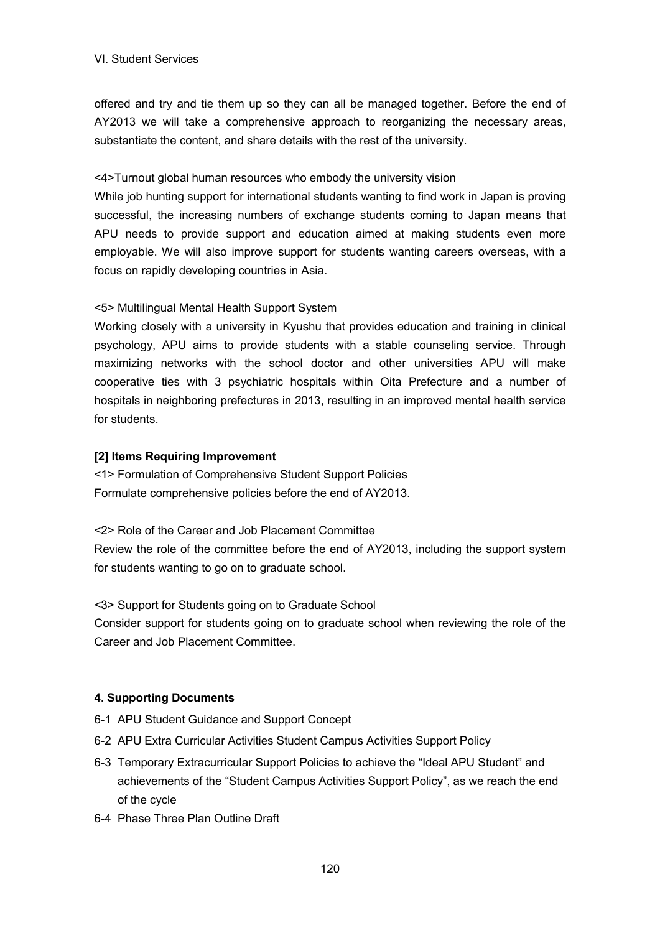offered and try and tie them up so they can all be managed together. Before the end of AY2013 we will take a comprehensive approach to reorganizing the necessary areas, substantiate the content, and share details with the rest of the university.

<4>Turnout global human resources who embody the university vision

While job hunting support for international students wanting to find work in Japan is proving successful, the increasing numbers of exchange students coming to Japan means that APU needs to provide support and education aimed at making students even more employable. We will also improve support for students wanting careers overseas, with a focus on rapidly developing countries in Asia.

<5> Multilingual Mental Health Support System

Working closely with a university in Kyushu that provides education and training in clinical psychology, APU aims to provide students with a stable counseling service. Through maximizing networks with the school doctor and other universities APU will make cooperative ties with 3 psychiatric hospitals within Oita Prefecture and a number of hospitals in neighboring prefectures in 2013, resulting in an improved mental health service for students.

### **[2] Items Requiring Improvement**

<1> Formulation of Comprehensive Student Support Policies Formulate comprehensive policies before the end of AY2013.

<2> Role of the Career and Job Placement Committee Review the role of the committee before the end of AY2013, including the support system for students wanting to go on to graduate school.

<3> Support for Students going on to Graduate School

Consider support for students going on to graduate school when reviewing the role of the Career and Job Placement Committee.

## **4. Supporting Documents**

- 6-1 APU Student Guidance and Support Concept
- 6-2 APU Extra Curricular Activities Student Campus Activities Support Policy
- 6-3 Temporary Extracurricular Support Policies to achieve the "Ideal APU Student" and achievements of the "Student Campus Activities Support Policy", as we reach the end of the cycle
- 6-4 Phase Three Plan Outline Draft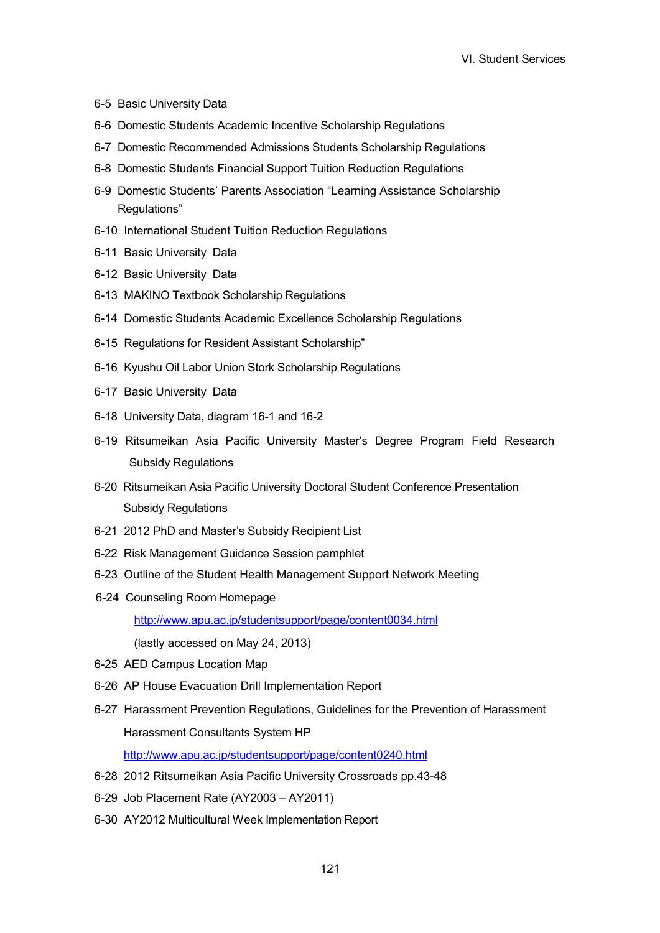- 6-5 Basic University Data
- 6-6 Domestic Students Academic Incentive Scholarship Regulations
- 6-7 Domestic Recommended Admissions Students Scholarship Regulations
- 6-8 Domestic Students Financial Support Tuition Reduction Regulations
- 6-9 Domestic Students' Parents Association "Learning Assistance Scholarship Regulations"
- 6-10 International Student Tuition Reduction Regulations
- 6-11 Basic University Data
- 6-12 Basic University Data
- 6-13 MAKINO Textbook Scholarship Regulations
- 6-14 Domestic Students Academic Excellence Scholarship Regulations
- 6-15 Regulations for Resident Assistant Scholarship"
- 6-16 Kyushu Oil Labor Union Stork Scholarship Regulations
- 6-17 Basic University Data
- 6-18 University Data, diagram 16-1 and 16-2
- 6-19 Ritsumeikan Asia Pacific University Master's Degree Program Field Research Subsidy Regulations
- 6-20 Ritsumeikan Asia Pacific University Doctoral Student Conference Presentation Subsidy Regulations
- 6-21 2012 PhD and Master's Subsidy Recipient List
- 6-22 Risk Management Guidance Session pamphlet
- 6-23 Outline of the Student Health Management Support Network Meeting
- 6-24 Counseling Room Homepage

http://www.apu.ac.jp/studentsupport/page/content0034.html

(lastly accessed on May 24, 2013)

- 6-25 AED Campus Location Map
- 6-26 AP House Evacuation Drill Implementation Report
- 6-27 Harassment Prevention Regulations, Guidelines for the Prevention of Harassment Harassment Consultants System HP

http://www.apu.ac.jp/studentsupport/page/content0240.html

- 6-28 2012 Ritsumeikan Asia Pacific University Crossroads pp.43-48
- 6-29 Job Placement Rate (AY2003 AY2011)
- 6-30 AY2012 Multicultural Week Implementation Report